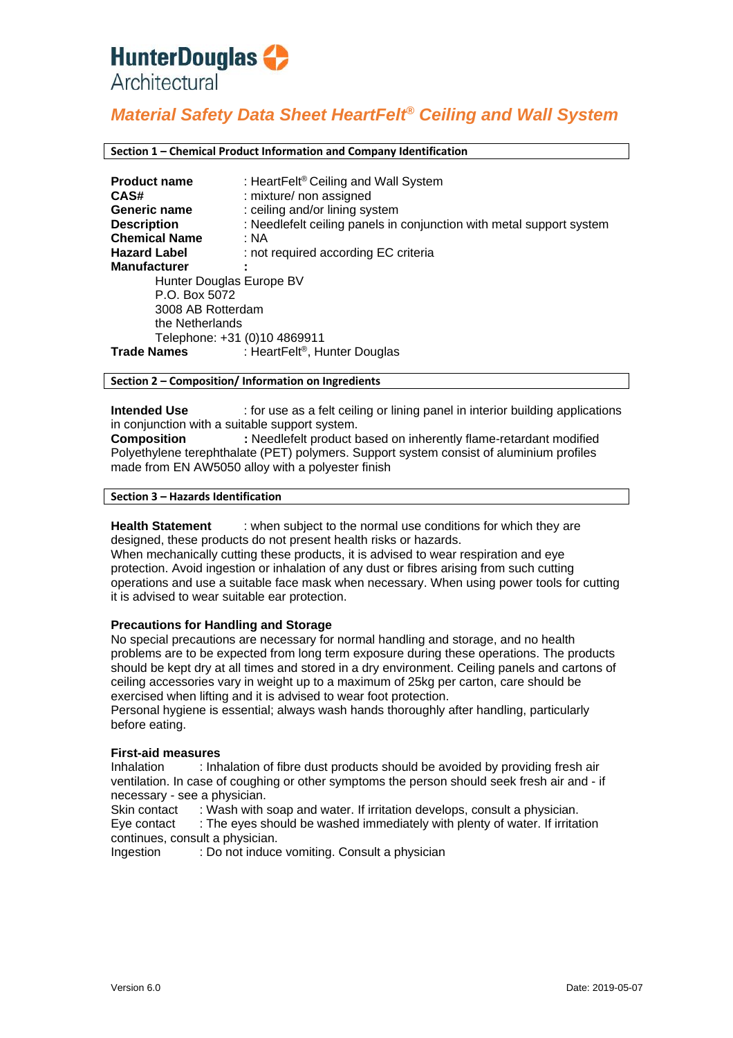# **HunterDouglas** Architectural

## *Material Safety Data Sheet HeartFelt® Ceiling and Wall System*

**Section 1 – Chemical Product Information and Company Identification**

| <b>Product name</b>          | : HeartFelt <sup>®</sup> Ceiling and Wall System                     |
|------------------------------|----------------------------------------------------------------------|
| CAS#                         | : mixture/ non assigned                                              |
| <b>Generic name</b>          | : ceiling and/or lining system                                       |
| <b>Description</b>           | : Needlefelt ceiling panels in conjunction with metal support system |
| <b>Chemical Name</b>         | : NA                                                                 |
| <b>Hazard Label</b>          | : not required according EC criteria                                 |
| <b>Manufacturer</b>          |                                                                      |
| Hunter Douglas Europe BV     |                                                                      |
| P.O. Box 5072                |                                                                      |
| 3008 AB Rotterdam            |                                                                      |
| the Netherlands              |                                                                      |
| Telephone: +31 (0)10 4869911 |                                                                      |
| <b>Trade Names</b>           | : HeartFelt <sup>®</sup> , Hunter Douglas                            |

#### **Section 2 – Composition/ Information on Ingredients**

**Intended Use** : for use as a felt ceiling or lining panel in interior building applications in conjunction with a suitable support system.

**Composition :** Needlefelt product based on inherently flame-retardant modified Polyethylene terephthalate (PET) polymers. Support system consist of aluminium profiles made from EN AW5050 alloy with a polyester finish

**Section 3 – Hazards Identification**

**Health Statement** : when subject to the normal use conditions for which they are designed, these products do not present health risks or hazards.

When mechanically cutting these products, it is advised to wear respiration and eye protection. Avoid ingestion or inhalation of any dust or fibres arising from such cutting operations and use a suitable face mask when necessary. When using power tools for cutting it is advised to wear suitable ear protection.

## **Precautions for Handling and Storage**

No special precautions are necessary for normal handling and storage, and no health problems are to be expected from long term exposure during these operations. The products should be kept dry at all times and stored in a dry environment. Ceiling panels and cartons of ceiling accessories vary in weight up to a maximum of 25kg per carton, care should be exercised when lifting and it is advised to wear foot protection.

Personal hygiene is essential; always wash hands thoroughly after handling, particularly before eating.

## **First-aid measures**

Inhalation : Inhalation of fibre dust products should be avoided by providing fresh air ventilation. In case of coughing or other symptoms the person should seek fresh air and - if necessary - see a physician.

Skin contact : Wash with soap and water. If irritation develops, consult a physician. Eye contact : The eyes should be washed immediately with plenty of water. If irritation continues, consult a physician.

Ingestion : Do not induce vomiting. Consult a physician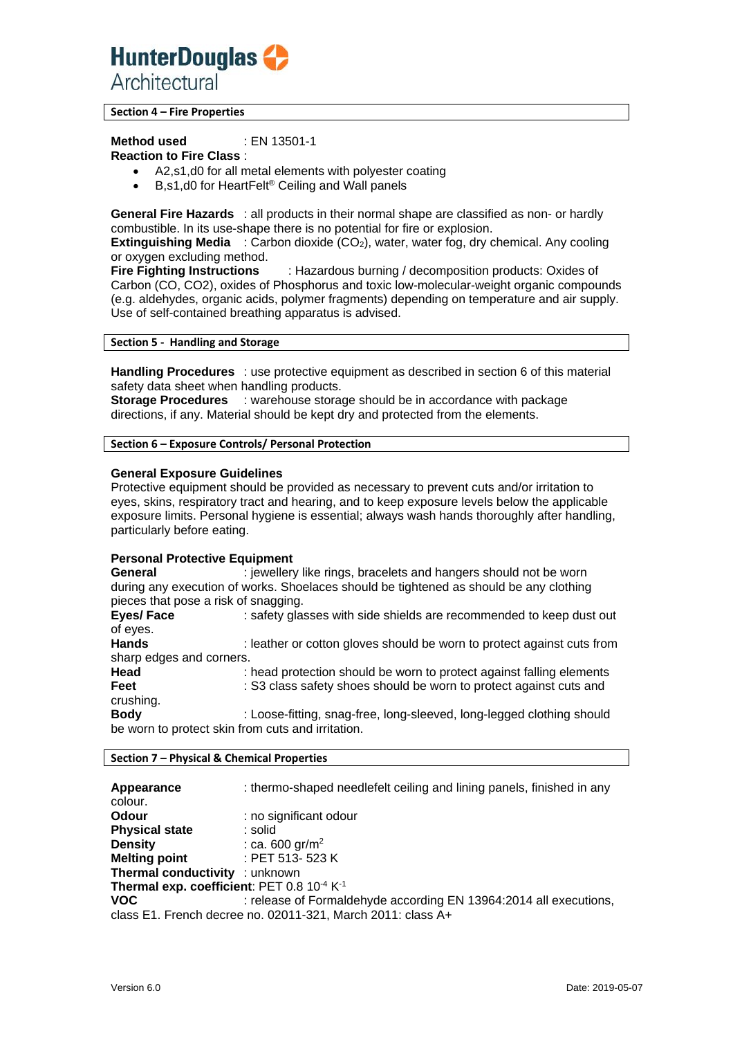

**Section 4 – Fire Properties**

## **Method used** : EN 13501-1

## **Reaction to Fire Class** :

- A2,s1,d0 for all metal elements with polyester coating
- B,s1,d0 for HeartFelt® Ceiling and Wall panels

**General Fire Hazards** : all products in their normal shape are classified as non- or hardly combustible. In its use-shape there is no potential for fire or explosion.

**Extinguishing Media** : Carbon dioxide (CO<sub>2</sub>), water, water fog, dry chemical. Any cooling or oxygen excluding method.

**Fire Fighting Instructions** : Hazardous burning / decomposition products: Oxides of Carbon (CO, CO2), oxides of Phosphorus and toxic low-molecular-weight organic compounds (e.g. aldehydes, organic acids, polymer fragments) depending on temperature and air supply. Use of self-contained breathing apparatus is advised.

## **Section 5 ‐ Handling and Storage**

**Handling Procedures** : use protective equipment as described in section 6 of this material safety data sheet when handling products.

**Storage Procedures** : warehouse storage should be in accordance with package directions, if any. Material should be kept dry and protected from the elements.

**Section 6 – Exposure Controls/ Personal Protection**

#### **General Exposure Guidelines**

Protective equipment should be provided as necessary to prevent cuts and/or irritation to eyes, skins, respiratory tract and hearing, and to keep exposure levels below the applicable exposure limits. Personal hygiene is essential; always wash hands thoroughly after handling, particularly before eating.

## **Personal Protective Equipment**

General : jewellery like rings, bracelets and hangers should not be worn during any execution of works. Shoelaces should be tightened as should be any clothing pieces that pose a risk of snagging.

**Eyes/ Face** : safety glasses with side shields are recommended to keep dust out of eyes.

**Hands** : leather or cotton gloves should be worn to protect against cuts from sharp edges and corners.

**Head** : head protection should be worn to protect against falling elements **Feet** : S3 class safety shoes should be worn to protect against cuts and crushing. **Body** : Loose-fitting, snag-free, long-sleeved, long-legged clothing should

be worn to protect skin from cuts and irritation.

**Section 7 – Physical & Chemical Properties**

| Appearance<br>colour.                                              | : thermo-shaped needlefelt ceiling and lining panels, finished in any |  |
|--------------------------------------------------------------------|-----------------------------------------------------------------------|--|
| Odour                                                              | : no significant odour                                                |  |
| <b>Physical state</b>                                              | : solid                                                               |  |
| <b>Density</b>                                                     | : ca. 600 gr/m <sup>2</sup>                                           |  |
| <b>Melting point</b>                                               | : PET 513- 523 K                                                      |  |
| Thermal conductivity : unknown                                     |                                                                       |  |
| Thermal exp. coefficient: PET 0.8 10 <sup>-4</sup> K <sup>-1</sup> |                                                                       |  |
| <b>VOC</b>                                                         | : release of Formaldehyde according EN 13964:2014 all executions,     |  |
| class E1. French decree no. 02011-321, March 2011: class A+        |                                                                       |  |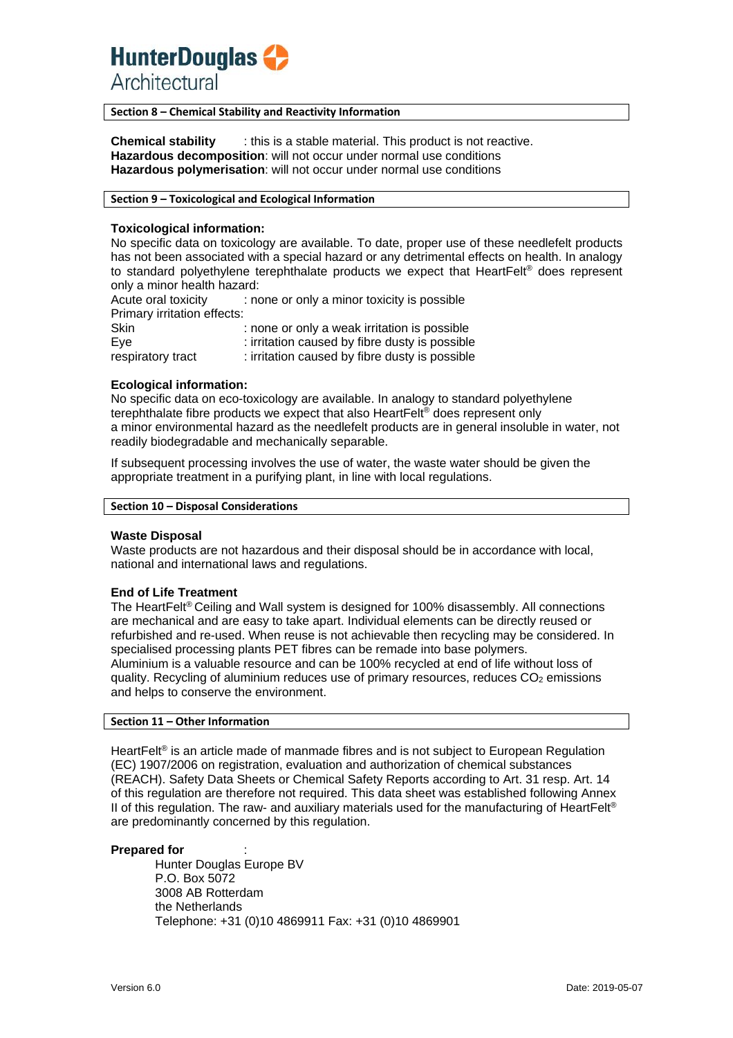

#### **Section 8 – Chemical Stability and Reactivity Information**

**Chemical stability** : this is a stable material. This product is not reactive. **Hazardous decomposition**: will not occur under normal use conditions **Hazardous polymerisation**: will not occur under normal use conditions

## **Section 9 – Toxicological and Ecological Information**

## **Toxicological information:**

No specific data on toxicology are available. To date, proper use of these needlefelt products has not been associated with a special hazard or any detrimental effects on health. In analogy to standard polyethylene terephthalate products we expect that HeartFelt<sup>®</sup> does represent only a minor health hazard:

Acute oral toxicity : none or only a minor toxicity is possible Primary irritation effects: Skin : none or only a weak irritation is possible Eye : irritation caused by fibre dusty is possible respiratory tract : irritation caused by fibre dusty is possible

## **Ecological information:**

No specific data on eco-toxicology are available. In analogy to standard polyethylene terephthalate fibre products we expect that also HeartFelt® does represent only a minor environmental hazard as the needlefelt products are in general insoluble in water, not readily biodegradable and mechanically separable.

If subsequent processing involves the use of water, the waste water should be given the appropriate treatment in a purifying plant, in line with local regulations.

#### **Section 10 – Disposal Considerations**

## **Waste Disposal**

Waste products are not hazardous and their disposal should be in accordance with local, national and international laws and regulations.

## **End of Life Treatment**

The HeartFelt<sup>®</sup> Ceiling and Wall system is designed for 100% disassembly. All connections are mechanical and are easy to take apart. Individual elements can be directly reused or refurbished and re-used. When reuse is not achievable then recycling may be considered. In specialised processing plants PET fibres can be remade into base polymers. Aluminium is a valuable resource and can be 100% recycled at end of life without loss of quality. Recycling of aluminium reduces use of primary resources, reduces  $CO<sub>2</sub>$  emissions and helps to conserve the environment.

## **Section 11 – Other Information**

HeartFelt® is an article made of manmade fibres and is not subject to European Regulation (EC) 1907/2006 on registration, evaluation and authorization of chemical substances (REACH). Safety Data Sheets or Chemical Safety Reports according to Art. 31 resp. Art. 14 of this regulation are therefore not required. This data sheet was established following Annex II of this regulation. The raw- and auxiliary materials used for the manufacturing of HeartFelt® are predominantly concerned by this regulation.

#### **Prepared for** :

Hunter Douglas Europe BV P.O. Box 5072 3008 AB Rotterdam the Netherlands Telephone: +31 (0)10 4869911 Fax: +31 (0)10 4869901